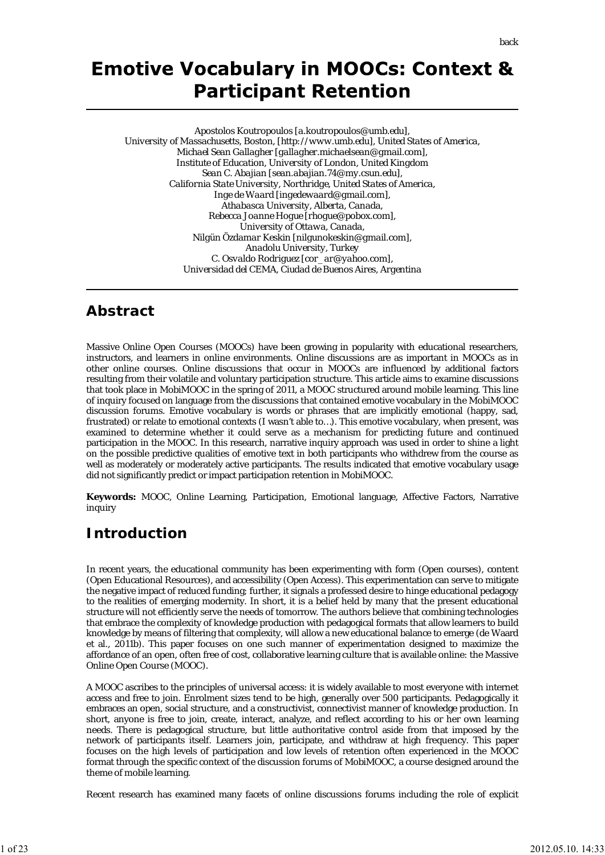# **Emotive Vocabulary in MOOCs: Context & Participant Retention**

*Apostolos Koutropoulos [a.koutropoulos@umb.edu], University of Massachusetts, Boston, [http://www.umb.edu], United States of America, Michael Sean Gallagher [gallagher.michaelsean@gmail.com], Institute of Education, University of London, United Kingdom Sean C. Abajian [sean.abajian.74@my.csun.edu], California State University, Northridge, United States of America, Inge de Waard [ingedewaard@gmail.com], Athabasca University, Alberta, Canada, Rebecca Joanne Hogue [rhogue@pobox.com], University of Ottawa, Canada, Nilgün Özdamar Keskin [nilgunokeskin@gmail.com], Anadolu University, Turkey C. Osvaldo Rodriguez [cor\_ar@yahoo.com], Universidad del CEMA, Ciudad de Buenos Aires, Argentina*

## **Abstract**

Massive Online Open Courses (MOOCs) have been growing in popularity with educational researchers, instructors, and learners in online environments. Online discussions are as important in MOOCs as in other online courses. Online discussions that occur in MOOCs are influenced by additional factors resulting from their volatile and voluntary participation structure. This article aims to examine discussions that took place in MobiMOOC in the spring of 2011, a MOOC structured around mobile learning. This line of inquiry focused on language from the discussions that contained emotive vocabulary in the MobiMOOC discussion forums. Emotive vocabulary is words or phrases that are implicitly emotional (happy, sad, frustrated) or relate to emotional contexts (I wasn't able to…). This emotive vocabulary, when present, was examined to determine whether it could serve as a mechanism for predicting future and continued participation in the MOOC. In this research, narrative inquiry approach was used in order to shine a light on the possible predictive qualities of emotive text in both participants who withdrew from the course as well as moderately or moderately active participants. The results indicated that emotive vocabulary usage did not significantly predict or impact participation retention in MobiMOOC.

**Keywords:** MOOC, Online Learning, Participation, Emotional language, Affective Factors, Narrative inquiry

## **Introduction**

In recent years, the educational community has been experimenting with form (Open courses), content (Open Educational Resources), and accessibility (Open Access). This experimentation can serve to mitigate the negative impact of reduced funding; further, it signals a professed desire to hinge educational pedagogy to the realities of emerging modernity. In short, it is a belief held by many that the present educational structure will not efficiently serve the needs of tomorrow. The authors believe that combining technologies that embrace the complexity of knowledge production with pedagogical formats that allow learners to build knowledge by means of filtering that complexity, will allow a new educational balance to emerge (de Waard et al., 2011b). This paper focuses on one such manner of experimentation designed to maximize the affordance of an open, often free of cost, collaborative learning culture that is available online: the Massive Online Open Course (MOOC).

A MOOC ascribes to the principles of universal access: it is widely available to most everyone with internet access and free to join. Enrolment sizes tend to be high, generally over 500 participants. Pedagogically it embraces an open, social structure, and a constructivist, connectivist manner of knowledge production. In short, anyone is free to join, create, interact, analyze, and reflect according to his or her own learning needs. There is pedagogical structure, but little authoritative control aside from that imposed by the network of participants itself. Learners join, participate, and withdraw at high frequency. This paper focuses on the high levels of participation and low levels of retention often experienced in the MOOC format through the specific context of the discussion forums of MobiMOOC, a course designed around the theme of mobile learning.

Recent research has examined many facets of online discussions forums including the role of explicit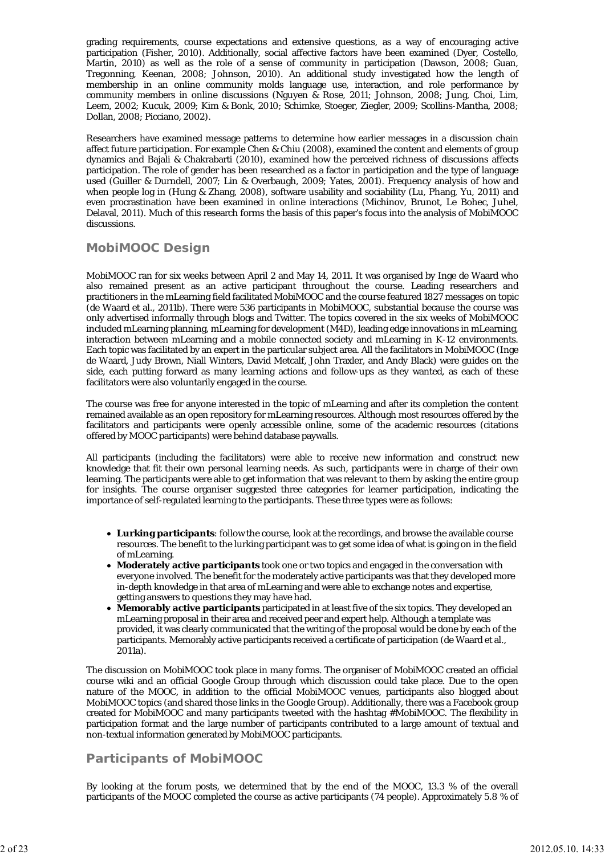grading requirements, course expectations and extensive questions, as a way of encouraging active participation (Fisher, 2010). Additionally, social affective factors have been examined (Dyer, Costello, Martin, 2010) as well as the role of a sense of community in participation (Dawson, 2008; Guan, Tregonning, Keenan, 2008; Johnson, 2010). An additional study investigated how the length of membership in an online community molds language use, interaction, and role performance by community members in online discussions (Nguyen & Rose, 2011; Johnson, 2008; Jung, Choi, Lim, Leem, 2002; Kucuk, 2009; Kim & Bonk, 2010; Schimke, Stoeger, Ziegler, 2009; Scollins-Mantha, 2008; Dollan, 2008; Picciano, 2002).

Researchers have examined message patterns to determine how earlier messages in a discussion chain affect future participation. For example Chen & Chiu (2008), examined the content and elements of group dynamics and Bajali & Chakrabarti (2010), examined how the perceived richness of discussions affects participation. The role of gender has been researched as a factor in participation and the type of language used (Guiller & Durndell, 2007; Lin & Overbaugh, 2009; Yates, 2001). Frequency analysis of how and when people log in (Hung & Zhang, 2008), software usability and sociability (Lu, Phang, Yu, 2011) and even procrastination have been examined in online interactions (Michinov, Brunot, Le Bohec, Juhel, Delaval, 2011). Much of this research forms the basis of this paper's focus into the analysis of MobiMOOC discussions.

## **MobiMOOC Design**

MobiMOOC ran for six weeks between April 2 and May 14, 2011. It was organised by Inge de Waard who also remained present as an active participant throughout the course. Leading researchers and practitioners in the mLearning field facilitated MobiMOOC and the course featured 1827 messages on topic (de Waard et al., 2011b). There were 536 participants in MobiMOOC, substantial because the course was only advertised informally through blogs and Twitter. The topics covered in the six weeks of MobiMOOC included mLearning planning, mLearning for development (M4D), leading edge innovations in mLearning, interaction between mLearning and a mobile connected society and mLearning in K-12 environments. Each topic was facilitated by an expert in the particular subject area. All the facilitators in MobiMOOC (Inge de Waard, Judy Brown, Niall Winters, David Metcalf, John Traxler, and Andy Black) were guides on the side, each putting forward as many learning actions and follow-ups as they wanted, as each of these facilitators were also voluntarily engaged in the course.

The course was free for anyone interested in the topic of mLearning and after its completion the content remained available as an open repository for mLearning resources. Although most resources offered by the facilitators and participants were openly accessible online, some of the academic resources (citations offered by MOOC participants) were behind database paywalls.

All participants (including the facilitators) were able to receive new information and construct new knowledge that fit their own personal learning needs. As such, participants were in charge of their own learning. The participants were able to get information that was relevant to them by asking the entire group for insights. The course organiser suggested three categories for learner participation, indicating the importance of self-regulated learning to the participants. These three types were as follows:

- **Lurking participants**: follow the course, look at the recordings, and browse the available course resources. The benefit to the lurking participant was to get some idea of what is going on in the field of mLearning.
- **Moderately active participants** took one or two topics and engaged in the conversation with everyone involved. The benefit for the moderately active participants was that they developed more in-depth knowledge in that area of mLearning and were able to exchange notes and expertise, getting answers to questions they may have had.
- **Memorably active participants** participated in at least five of the six topics. They developed an mLearning proposal in their area and received peer and expert help. Although a template was provided, it was clearly communicated that the writing of the proposal would be done by each of the participants. Memorably active participants received a certificate of participation (de Waard et al., 2011a).

The discussion on MobiMOOC took place in many forms. The organiser of MobiMOOC created an official course wiki and an official Google Group through which discussion could take place. Due to the open nature of the MOOC, in addition to the official MobiMOOC venues, participants also blogged about MobiMOOC topics (and shared those links in the Google Group). Additionally, there was a Facebook group created for MobiMOOC and many participants tweeted with the hashtag #MobiMOOC. The flexibility in participation format and the large number of participants contributed to a large amount of textual and non-textual information generated by MobiMOOC participants.

## **Participants of MobiMOOC**

By looking at the forum posts, we determined that by the end of the MOOC, 13.3 % of the overall participants of the MOOC completed the course as active participants (74 people). Approximately 5.8 % of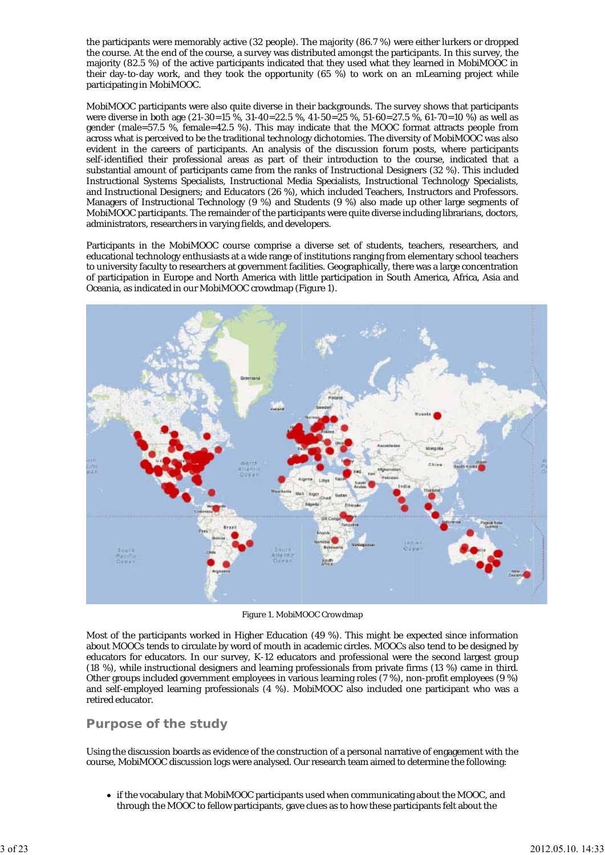the participants were memorably active (32 people). The majority (86.7 %) were either lurkers or dropped the course. At the end of the course, a survey was distributed amongst the participants. In this survey, the majority (82.5 %) of the active participants indicated that they used what they learned in MobiMOOC in their day-to-day work, and they took the opportunity (65 %) to work on an mLearning project while participating in MobiMOOC.

MobiMOOC participants were also quite diverse in their backgrounds. The survey shows that participants were diverse in both age (21-30=15 %, 31-40=22.5 %, 41-50=25 %, 51-60=27.5 %, 61-70=10 %) as well as gender (male=57.5 %, female=42.5 %). This may indicate that the MOOC format attracts people from across what is perceived to be the traditional technology dichotomies. The diversity of MobiMOOC was also evident in the careers of participants. An analysis of the discussion forum posts, where participants self-identified their professional areas as part of their introduction to the course, indicated that a substantial amount of participants came from the ranks of Instructional Designers (32 %). This included Instructional Systems Specialists, Instructional Media Specialists, Instructional Technology Specialists, and Instructional Designers; and Educators (26 %), which included Teachers, Instructors and Professors. Managers of Instructional Technology (9 %) and Students (9 %) also made up other large segments of MobiMOOC participants. The remainder of the participants were quite diverse including librarians, doctors, administrators, researchers in varying fields, and developers.

Participants in the MobiMOOC course comprise a diverse set of students, teachers, researchers, and educational technology enthusiasts at a wide range of institutions ranging from elementary school teachers to university faculty to researchers at government facilities. Geographically, there was a large concentration of participation in Europe and North America with little participation in South America, Africa, Asia and Oceania, as indicated in our MobiMOOC crowdmap (Figure 1).



*Figure 1. MobiMOOC Crowdmap*

Most of the participants worked in Higher Education (49 %). This might be expected since information about MOOCs tends to circulate by word of mouth in academic circles. MOOCs also tend to be designed by educators for educators. In our survey, K-12 educators and professional were the second largest group (18 %), while instructional designers and learning professionals from private firms (13 %) came in third. Other groups included government employees in various learning roles (7 %), non-profit employees (9 %) and self-employed learning professionals (4 %). MobiMOOC also included one participant who was a retired educator.

## **Purpose of the study**

Using the discussion boards as evidence of the construction of a personal narrative of engagement with the course, MobiMOOC discussion logs were analysed. Our research team aimed to determine the following:

if the vocabulary that MobiMOOC participants used when communicating about the MOOC, and through the MOOC to fellow participants, gave clues as to how these participants felt about the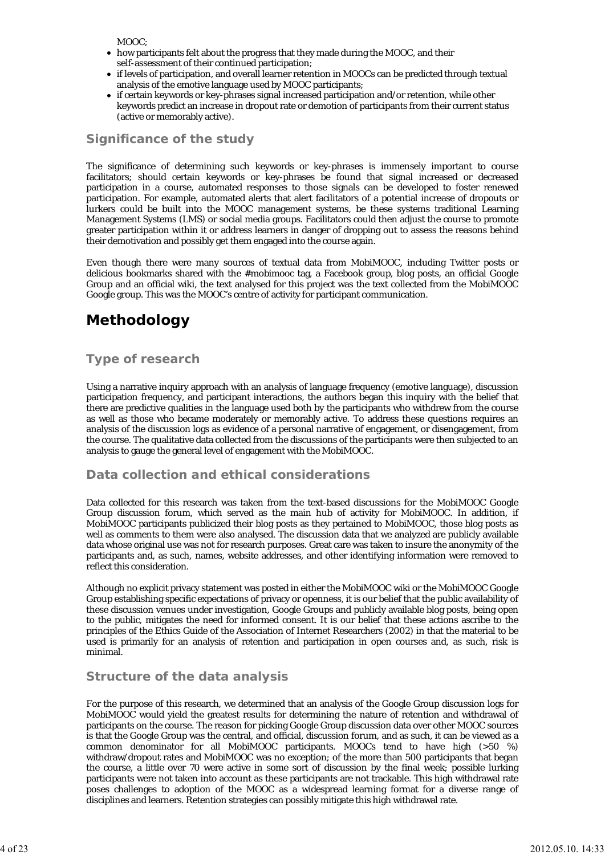MOOC:

- how participants felt about the progress that they made during the MOOC, and their self-assessment of their continued participation;
- if levels of participation, and overall learner retention in MOOCs can be predicted through textual analysis of the emotive language used by MOOC participants;
- if certain keywords or key-phrases signal increased participation and/or retention, while other keywords predict an increase in dropout rate or demotion of participants from their current status (active or memorably active).

## **Significance of the study**

The significance of determining such keywords or key-phrases is immensely important to course facilitators; should certain keywords or key-phrases be found that signal increased or decreased participation in a course, automated responses to those signals can be developed to foster renewed participation. For example, automated alerts that alert facilitators of a potential increase of dropouts or lurkers could be built into the MOOC management systems, be these systems traditional Learning Management Systems (LMS) or social media groups. Facilitators could then adjust the course to promote greater participation within it or address learners in danger of dropping out to assess the reasons behind their demotivation and possibly get them engaged into the course again.

Even though there were many sources of textual data from MobiMOOC, including Twitter posts or delicious bookmarks shared with the #mobimooc tag, a Facebook group, blog posts, an official Google Group and an official wiki, the text analysed for this project was the text collected from the MobiMOOC Google group. This was the MOOC's centre of activity for participant communication.

## **Methodology**

## **Type of research**

Using a narrative inquiry approach with an analysis of language frequency (emotive language), discussion participation frequency, and participant interactions, the authors began this inquiry with the belief that there are predictive qualities in the language used both by the participants who withdrew from the course as well as those who became moderately or memorably active. To address these questions requires an analysis of the discussion logs as evidence of a personal narrative of engagement, or disengagement, from the course. The qualitative data collected from the discussions of the participants were then subjected to an analysis to gauge the general level of engagement with the MobiMOOC.

## **Data collection and ethical considerations**

Data collected for this research was taken from the text-based discussions for the MobiMOOC Google Group discussion forum, which served as the main hub of activity for MobiMOOC. In addition, if MobiMOOC participants publicized their blog posts as they pertained to MobiMOOC, those blog posts as well as comments to them were also analysed. The discussion data that we analyzed are publicly available data whose original use was not for research purposes. Great care was taken to insure the anonymity of the participants and, as such, names, website addresses, and other identifying information were removed to reflect this consideration.

Although no explicit privacy statement was posted in either the MobiMOOC wiki or the MobiMOOC Google Group establishing specific expectations of privacy or openness, it is our belief that the public availability of these discussion venues under investigation, Google Groups and publicly available blog posts, being open to the public, mitigates the need for informed consent. It is our belief that these actions ascribe to the principles of the Ethics Guide of the Association of Internet Researchers (2002) in that the material to be used is primarily for an analysis of retention and participation in open courses and, as such, risk is minimal.

### **Structure of the data analysis**

For the purpose of this research, we determined that an analysis of the Google Group discussion logs for MobiMOOC would yield the greatest results for determining the nature of retention and withdrawal of participants on the course. The reason for picking Google Group discussion data over other MOOC sources is that the Google Group was the central, and official, discussion forum, and as such, it can be viewed as a common denominator for all MobiMOOC participants. MOOCs tend to have high (>50 %) withdraw/dropout rates and MobiMOOC was no exception; of the more than 500 participants that began the course, a little over 70 were active in some sort of discussion by the final week; possible lurking participants were not taken into account as these participants are not trackable. This high withdrawal rate poses challenges to adoption of the MOOC as a widespread learning format for a diverse range of disciplines and learners. Retention strategies can possibly mitigate this high withdrawal rate.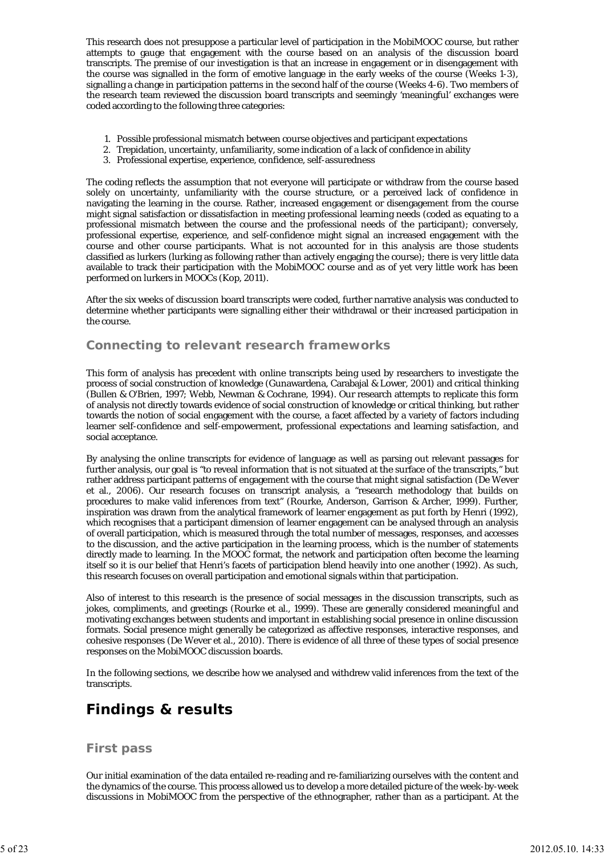This research does not presuppose a particular level of participation in the MobiMOOC course, but rather attempts to gauge that engagement with the course based on an analysis of the discussion board transcripts. The premise of our investigation is that an increase in engagement or in disengagement with the course was signalled in the form of emotive language in the early weeks of the course (Weeks 1-3), signalling a change in participation patterns in the second half of the course (Weeks 4-6). Two members of the research team reviewed the discussion board transcripts and seemingly 'meaningful' exchanges were coded according to the following three categories:

- 1. Possible professional mismatch between course objectives and participant expectations
- 2. Trepidation, uncertainty, unfamiliarity, some indication of a lack of confidence in ability
- 3. Professional expertise, experience, confidence, self-assuredness

The coding reflects the assumption that not everyone will participate or withdraw from the course based solely on uncertainty, unfamiliarity with the course structure, or a perceived lack of confidence in navigating the learning in the course. Rather, increased engagement or disengagement from the course might signal satisfaction or dissatisfaction in meeting professional learning needs (coded as equating to a professional mismatch between the course and the professional needs of the participant); conversely, professional expertise, experience, and self-confidence might signal an increased engagement with the course and other course participants. What is not accounted for in this analysis are those students classified as lurkers (lurking as following rather than actively engaging the course); there is very little data available to track their participation with the MobiMOOC course and as of yet very little work has been performed on lurkers in MOOCs (Kop, 2011).

After the six weeks of discussion board transcripts were coded, further narrative analysis was conducted to determine whether participants were signalling either their withdrawal or their increased participation in the course.

### **Connecting to relevant research frameworks**

This form of analysis has precedent with online transcripts being used by researchers to investigate the process of social construction of knowledge (Gunawardena, Carabajal & Lower, 2001) and critical thinking (Bullen & O'Brien, 1997; Webb, Newman & Cochrane, 1994). Our research attempts to replicate this form of analysis not directly towards evidence of social construction of knowledge or critical thinking, but rather towards the notion of social engagement with the course, a facet affected by a variety of factors including learner self-confidence and self-empowerment, professional expectations and learning satisfaction, and social acceptance.

By analysing the online transcripts for evidence of language as well as parsing out relevant passages for further analysis, our goal is "to reveal information that is not situated at the surface of the transcripts," but rather address participant patterns of engagement with the course that might signal satisfaction (De Wever et al., 2006). Our research focuses on transcript analysis, a "research methodology that builds on procedures to make valid inferences from text" (Rourke, Anderson, Garrison & Archer, 1999). Further, inspiration was drawn from the analytical framework of learner engagement as put forth by Henri (1992), which recognises that a participant dimension of learner engagement can be analysed through an analysis of overall participation, which is measured through the total number of messages, responses, and accesses to the discussion, and the active participation in the learning process, which is the number of statements directly made to learning. In the MOOC format, the network and participation often become the learning itself so it is our belief that Henri's facets of participation blend heavily into one another (1992). As such, this research focuses on overall participation and emotional signals within that participation.

Also of interest to this research is the presence of social messages in the discussion transcripts, such as jokes, compliments, and greetings (Rourke et al., 1999). These are generally considered meaningful and motivating exchanges between students and important in establishing social presence in online discussion formats. Social presence might generally be categorized as affective responses, interactive responses, and cohesive responses (De Wever et al., 2010). There is evidence of all three of these types of social presence responses on the MobiMOOC discussion boards.

In the following sections, we describe how we analysed and withdrew valid inferences from the text of the transcripts.

## **Findings & results**

### **First pass**

Our initial examination of the data entailed re-reading and re-familiarizing ourselves with the content and the dynamics of the course. This process allowed us to develop a more detailed picture of the week-by-week discussions in MobiMOOC from the perspective of the ethnographer, rather than as a participant. At the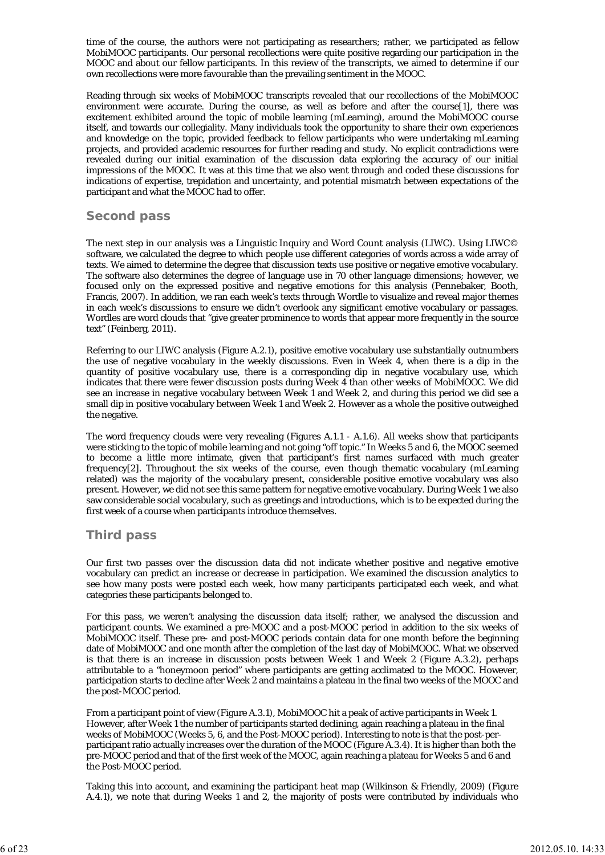time of the course, the authors were not participating as researchers; rather, we participated as fellow MobiMOOC participants. Our personal recollections were quite positive regarding our participation in the MOOC and about our fellow participants. In this review of the transcripts, we aimed to determine if our own recollections were more favourable than the prevailing sentiment in the MOOC.

Reading through six weeks of MobiMOOC transcripts revealed that our recollections of the MobiMOOC environment were accurate. During the course, as well as before and after the course[1], there was excitement exhibited around the topic of mobile learning (mLearning), around the MobiMOOC course itself, and towards our collegiality. Many individuals took the opportunity to share their own experiences and knowledge on the topic, provided feedback to fellow participants who were undertaking mLearning projects, and provided academic resources for further reading and study. No explicit contradictions were revealed during our initial examination of the discussion data exploring the accuracy of our initial impressions of the MOOC. It was at this time that we also went through and coded these discussions for indications of expertise, trepidation and uncertainty, and potential mismatch between expectations of the participant and what the MOOC had to offer.

### **Second pass**

The next step in our analysis was a Linguistic Inquiry and Word Count analysis (LIWC). Using LIWC© software, we calculated the degree to which people use different categories of words across a wide array of texts. We aimed to determine the degree that discussion texts use positive or negative emotive vocabulary. The software also determines the degree of language use in 70 other language dimensions; however, we focused only on the expressed positive and negative emotions for this analysis (Pennebaker, Booth, Francis, 2007). In addition, we ran each week's texts through Wordle to visualize and reveal major themes in each week's discussions to ensure we didn't overlook any significant emotive vocabulary or passages. Wordles are word clouds that "give greater prominence to words that appear more frequently in the source text" (Feinberg, 2011).

Referring to our LIWC analysis (Figure A.2.1), positive emotive vocabulary use substantially outnumbers the use of negative vocabulary in the weekly discussions. Even in Week 4, when there is a dip in the quantity of positive vocabulary use, there is a corresponding dip in negative vocabulary use, which indicates that there were fewer discussion posts during Week 4 than other weeks of MobiMOOC. We did see an increase in negative vocabulary between Week 1 and Week 2, and during this period we did see a small dip in positive vocabulary between Week 1 and Week 2. However as a whole the positive outweighed the negative.

The word frequency clouds were very revealing (Figures A.1.1 - A.1.6). All weeks show that participants were sticking to the topic of mobile learning and not going "off topic." In Weeks 5 and 6, the MOOC seemed to become a little more intimate, given that participant's first names surfaced with much greater frequency[2]. Throughout the six weeks of the course, even though thematic vocabulary (mLearning related) was the majority of the vocabulary present, considerable positive emotive vocabulary was also present. However, we did not see this same pattern for negative emotive vocabulary. During Week 1 we also saw considerable social vocabulary, such as greetings and introductions, which is to be expected during the first week of a course when participants introduce themselves.

### **Third pass**

Our first two passes over the discussion data did not indicate whether positive and negative emotive vocabulary can predict an increase or decrease in participation. We examined the discussion analytics to see how many posts were posted each week, how many participants participated each week, and what categories these participants belonged to.

For this pass, we weren't analysing the discussion data itself; rather, we analysed the discussion and participant counts. We examined a pre-MOOC and a post-MOOC period in addition to the six weeks of MobiMOOC itself. These pre- and post-MOOC periods contain data for one month before the beginning date of MobiMOOC and one month after the completion of the last day of MobiMOOC. What we observed is that there is an increase in discussion posts between Week 1 and Week 2 (Figure A.3.2), perhaps attributable to a "honeymoon period" where participants are getting acclimated to the MOOC. However, participation starts to decline after Week 2 and maintains a plateau in the final two weeks of the MOOC and the post-MOOC period.

From a participant point of view (Figure A.3.1), MobiMOOC hit a peak of active participants in Week 1. However, after Week 1 the number of participants started declining, again reaching a plateau in the final weeks of MobiMOOC (Weeks 5, 6, and the Post-MOOC period). Interesting to note is that the post-perparticipant ratio actually increases over the duration of the MOOC (Figure A.3.4). It is higher than both the pre-MOOC period and that of the first week of the MOOC, again reaching a plateau for Weeks 5 and 6 and the Post-MOOC period.

Taking this into account, and examining the participant heat map (Wilkinson & Friendly, 2009) (Figure A.4.1), we note that during Weeks 1 and 2, the majority of posts were contributed by individuals who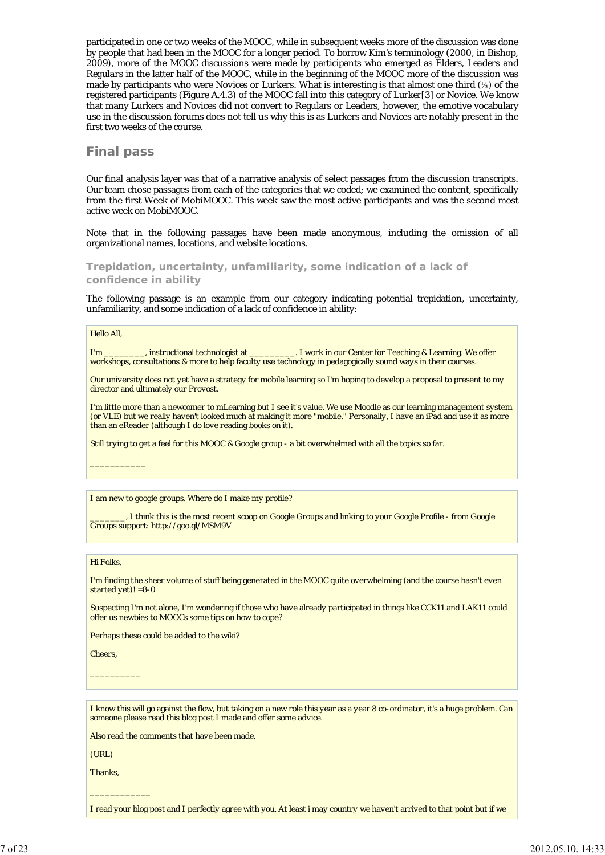participated in one or two weeks of the MOOC, while in subsequent weeks more of the discussion was done by people that had been in the MOOC for a longer period. To borrow Kim's terminology (2000, in Bishop, 2009), more of the MOOC discussions were made by participants who emerged as *Elders, Leaders* and *Regulars* in the latter half of the MOOC, while in the beginning of the MOOC more of the discussion was made by participants who were *Novices or Lurkers*. What is interesting is that almost one third (⅓) of the registered participants (Figure A.4.3) of the MOOC fall into this category of *Lurker*[3] or *Novice.* We know that many Lurkers and Novices did not convert to Regulars or Leaders, however, the emotive vocabulary use in the discussion forums does not tell us why this is as Lurkers and Novices are notably present in the first two weeks of the course.

### **Final pass**

Our final analysis layer was that of a narrative analysis of select passages from the discussion transcripts. Our team chose passages from each of the categories that we coded; we examined the content, specifically from the first Week of MobiMOOC. This week saw the most active participants and was the second most active week on MobiMOOC.

Note that in the following passages have been made anonymous, including the omission of all organizational names, locations, and website locations.

**Trepidation, uncertainty, unfamiliarity, some indication of a lack of confidence in ability**

The following passage is an example from our category indicating potential trepidation, uncertainty, unfamiliarity, and some indication of a lack of confidence in ability:

#### Hello All,

I'm \_\_\_\_\_\_\_\_, instructional technologist at \_\_\_\_\_\_\_\_\_\_. I work in our Center for Teaching & Learning. We offer workshops, consultations & more to help faculty use technology in pedagogically sound ways in their courses.

Our university does not yet have a strategy for mobile learning so I'm hoping to develop a proposal to present to my director and ultimately our Provost.

I'm little more than a newcomer to mLearning but I see it's value. We use Moodle as our learning management system (or VLE) but we really haven't looked much at making it more "mobile." Personally, I have an iPad and use it as more than an eReader (although I do love reading books on it).

Still trying to get a feel for this MOOC & Google group - a bit overwhelmed with all the topics so far.

I am new to google groups. Where do I make my profile?

\_\_\_\_\_\_\_, I think this is the most recent scoop on Google Groups and linking to your Google Profile - from Google Groups support: http://goo.gl/MSM9V

#### Hi Folks,

 $\overline{\phantom{a}}$ 

I'm finding the sheer volume of stuff being generated in the MOOC quite overwhelming (and the course hasn't even started yet)!  $=8-0$ 

Suspecting I'm not alone, I'm wondering if those who have already participated in things like CCK11 and LAK11 could offer us newbies to MOOCs some tips on how to cope?

Perhaps these could be added to the wiki?

Cheers,

 $\overline{\phantom{a}}$ 

I know this will go against the flow, but taking on a new role this year as a year 8 co-ordinator, it's a huge problem. Can someone please read this blog post I made and offer some advice.

Also read the comments that have been made.

(URL)

Thanks,

 $\overline{\phantom{a}}$  , where  $\overline{\phantom{a}}$ 

I read your blog post and I perfectly agree with you. At least i may country we haven't arrived to that point but if we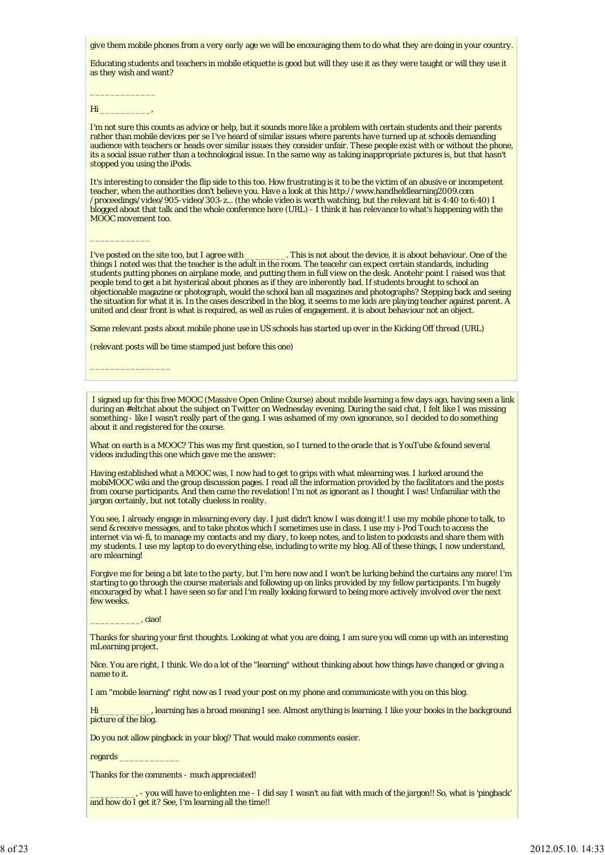give them mobile phones from a very early age we will be encouraging them to do what they are doing in your country.

Educating students and teachers in mobile etiquette is good but will they use it as they were taught or will they use it as they wish and want?

 $\overline{\phantom{a}}$  , where  $\overline{\phantom{a}}$  $H<sub>i</sub>$ 

 $\overline{\phantom{a}}$  , where  $\overline{\phantom{a}}$ 

\_\_\_\_\_\_\_\_\_\_\_\_\_\_\_\_

I'm not sure this counts as advice or help, but it sounds more like a problem with certain students and their parents rather than mobile devices per se I've heard of similar issues where parents have turned up at schools demanding audience with teachers or heads over similar issues they consider unfair. These people exist with or without the phone, its a social issue rather than a technological issue. In the same way as taking inappropriate pictures is, but that hasn't stopped you using the iPods.

It's interesting to consider the flip side to this too. How frustrating is it to be the victim of an abusive or incompetent teacher, when the authorities don't believe you. Have a look at this http://www.handheldlearning2009.com /proceedings/video/905-video/303-z... (the whole video is worth watching, but the relevant bit is 4:40 to 6:40) I blogged about that talk and the whole conference here (URL) - I think it has relevance to what's happening with the MOOC movement too.

I've posted on the site too, but I agree with \_\_\_\_\_\_\_\_. This is not about the device, it is about behaviour. One of the things I noted was that the teacher is the adult in the room. The teacehr can expect certain standards, including students putting phones on airplane mode, and putting them in full view on the desk. Anotehr point I raised was that people tend to get a bit hysterical about phones as if they are inherently bad. If students brought to school an objectionable magazine or photograph, would the school ban all magazines and photographs? Stepping back and seeing the situation for what it is. In the cases described in the blog, it seems to me kids are playing teacher against parent. A united and clear front is what is required, as well as rules of engagement. it is about behaviour not an object.

Some relevant posts about mobile phone use in US schools has started up over in the Kicking Off thread (URL)

(relevant posts will be time stamped just before this one)

 I signed up for this free MOOC (Massive Open Online Course) about mobile learning a few days ago, having seen a link during an #eltchat about the subject on Twitter on Wednesday evening. During the said chat, I felt like I was missing something - like I wasn't really part of the gang. I was ashamed of my own ignorance, so I decided to do something about it and registered for the course.

What on earth is a MOOC? This was my first question, so I turned to the oracle that is YouTube & found several videos including this one which gave me the answer:

Having established what a MOOC was, I now had to get to grips with what mlearning was. I lurked around the mobiMOOC wiki and the group discussion pages. I read all the information provided by the facilitators and the posts from course participants. And then came the revelation! I'm not as ignorant as I thought I was! Unfamiliar with the jargon certainly, but not totally clueless in reality.

You see, I already engage in mlearning every day. I just didn't know I was doing it! I use my mobile phone to talk, to send & receive messages, and to take photos which I sometimes use in class. I use my i-Pod Touch to access the internet via wi-fi, to manage my contacts and my diary, to keep notes, and to listen to podcasts and share them with my students. I use my laptop to do everything else, including to write my blog. All of these things, I now understand, are mlearning!

Forgive me for being a bit late to the party, but I'm here now and I won't be lurking behind the curtains any more! I'm starting to go through the course materials and following up on links provided by my fellow participants. I'm hugely encouraged by what I have seen so far and I'm really looking forward to being more actively involved over the next few weeks.

 $\_$ ciao!

Thanks for sharing your first thoughts. Looking at what you are doing, I am sure you will come up with an interesting mLearning project.

Nice. You are right, I think. We do a lot of the "learning" without thinking about how things have changed or giving a name to it.

I am "mobile learning" right now as I read your post on my phone and communicate with you on this blog.

Hi \_\_\_\_\_\_\_\_\_\_, learning has a broad meaning I see. Almost anything is learning. I like your books in the background picture of the blog.

Do you not allow pingback in your blog? That would make comments easier.

regards \_\_\_\_\_\_\_\_\_\_\_\_

Thanks for the comments - much appreciated!

\_\_\_\_\_\_\_\_\_, - you will have to enlighten me - I did say I wasn't au fait with much of the jargon!! So, what is 'pingback' and how do I get it? See, I'm learning all the time!!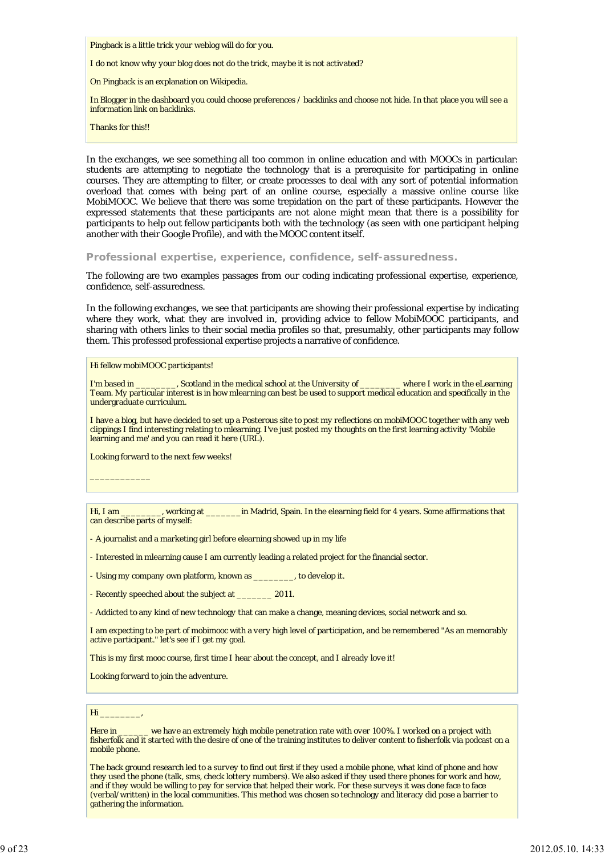Pingback is a little trick your weblog will do for you.

I do not know why your blog does not do the trick, maybe it is not activated?

On Pingback is an explanation on Wikipedia.

In Blogger in the dashboard you could choose preferences / backlinks and choose not hide. In that place you will see a information link on backlinks.

Thanks for this!!

In the exchanges, we see something all too common in online education and with MOOCs in particular: students are attempting to negotiate the technology that is a prerequisite for participating in online courses. They are attempting to filter, or create processes to deal with any sort of potential information overload that comes with being part of an online course, especially a massive online course like MobiMOOC. We believe that there was some trepidation on the part of these participants. However the expressed statements that these participants are not alone might mean that there is a possibility for participants to help out fellow participants both with the technology (as seen with one participant helping another with their Google Profile), and with the MOOC content itself.

**Professional expertise, experience, confidence, self-assuredness.**

The following are two examples passages from our coding indicating professional expertise, experience, confidence, self-assuredness.

In the following exchanges, we see that participants are showing their professional expertise by indicating where they work, what they are involved in, providing advice to fellow MobiMOOC participants, and sharing with others links to their social media profiles so that, presumably, other participants may follow them. This professed professional expertise projects a narrative of confidence.

Hi fellow mobiMOOC participants!

I'm based in \_\_\_\_\_\_\_\_, Scotland in the medical school at the University of \_\_\_\_\_\_\_\_ where I work in the eLearning Team. My particular interest is in how mlearning can best be used to support medical education and specifically in the undergraduate curriculum.

I have a blog, but have decided to set up a Posterous site to post my reflections on mobiMOOC together with any web clippings I find interesting relating to mlearning. I've just posted my thoughts on the first learning activity 'Mobile learning and me' and you can read it here (URL).

Looking forward to the next few weeks!

 $\mathcal{L}=\mathcal{L}$ 

Hi, I am \_\_\_\_\_\_\_\_, working at \_\_\_\_\_\_\_in Madrid, Spain. In the elearning field for 4 years. Some affirmations that can describe parts of myself:

- A journalist and a marketing girl before elearning showed up in my life

- Interested in mlearning cause I am currently leading a related project for the financial sector.

- Using my company own platform, known as \_\_\_\_\_\_\_\_, to develop it.

- Recently speeched about the subject at \_\_\_\_\_\_\_\_ 2011.

- Addicted to any kind of new technology that can make a change, meaning devices, social network and so.

I am expecting to be part of mobimooc with a very high level of participation, and be remembered "As an memorably active participant." let's see if I get my goal.

This is my first mooc course, first time I hear about the concept, and I already love it!

Looking forward to join the adventure.

#### $Hi$

Here in \_\_\_\_\_\_\_ we have an extremely high mobile penetration rate with over 100%. I worked on a project with fisherfolk and it started with the desire of one of the training institutes to deliver content to fisherfolk via podcast on a mobile phone.

The back ground research led to a survey to find out first if they used a mobile phone, what kind of phone and how they used the phone (talk, sms, check lottery numbers). We also asked if they used there phones for work and how, and if they would be willing to pay for service that helped their work. For these surveys it was done face to face (verbal/written) in the local communities. This method was chosen so technology and literacy did pose a barrier to gathering the information.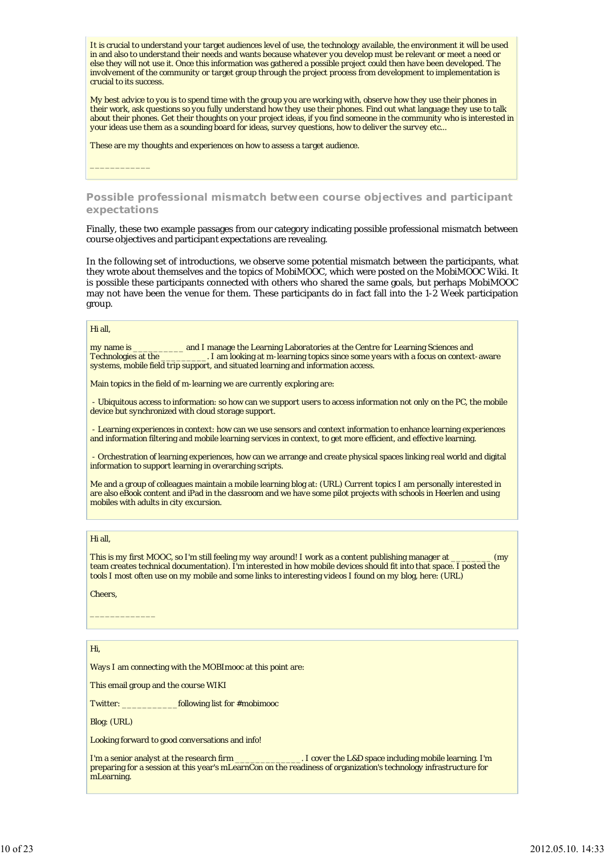It is crucial to understand your target audiences level of use, the technology available, the environment it will be used in and also to understand their needs and wants because whatever you develop must be relevant or meet a need or else they will not use it. Once this information was gathered a possible project could then have been developed. The involvement of the community or target group through the project process from development to implementation is crucial to its success.

My best advice to you is to spend time with the group you are working with, observe how they use their phones in their work, ask questions so you fully understand how they use their phones. Find out what language they use to talk about their phones. Get their thoughts on your project ideas, if you find someone in the community who is interested in your ideas use them as a sounding board for ideas, survey questions, how to deliver the survey etc...

These are my thoughts and experiences on how to assess a target audience.

**Possible professional mismatch between course objectives and participant expectations**

Finally, these two example passages from our category indicating possible professional mismatch between course objectives and participant expectations are revealing.

In the following set of introductions, we observe some potential mismatch between the participants, what they wrote about themselves and the topics of MobiMOOC, which were posted on the MobiMOOC Wiki. It is possible these participants connected with others who shared the same goals, but perhaps MobiMOOC may not have been the venue for them. These participants do in fact fall into the 1-2 Week participation group.

#### Hi all,

 $\overline{\phantom{a}}$  , where  $\overline{\phantom{a}}$ 

my name is \_\_\_\_\_\_\_\_\_\_ and I manage the Learning Laboratories at the Centre for Learning Sciences and Technologies at the \_\_\_\_\_\_\_\_\_. I am looking at m-learning topics since some years with a focus on context-aware systems, mobile field trip support, and situated learning and information access.

Main topics in the field of m-learning we are currently exploring are:

 - Ubiquitous access to information: so how can we support users to access information not only on the PC, the mobile device but synchronized with cloud storage support.

 - Learning experiences in context: how can we use sensors and context information to enhance learning experiences and information filtering and mobile learning services in context, to get more efficient, and effective learning.

 - Orchestration of learning experiences, how can we arrange and create physical spaces linking real world and digital information to support learning in overarching scripts.

Me and a group of colleagues maintain a mobile learning blog at: (URL) Current topics I am personally interested in are also eBook content and iPad in the classroom and we have some pilot projects with schools in Heerlen and using mobiles with adults in city excursion.

#### Hi all,

This is my first MOOC, so I'm still feeling my way around! I work as a content publishing manager at \_\_\_\_\_\_\_\_ (my team creates technical documentation). I'm interested in how mobile devices should fit into that space. I posted the tools I most often use on my mobile and some links to interesting videos I found on my blog, here: (URL)

#### Cheers,

 $\mathcal{L}=\mathcal{L}^{\mathcal{L}}$  , where  $\mathcal{L}^{\mathcal{L}}$ 

### Hi,

Ways I am connecting with the MOBImooc at this point are:

This email group and the course WIKI

Twitter: \_\_\_\_\_\_\_\_\_\_\_following list for #mobimooc

Blog: (URL)

Looking forward to good conversations and info!

I'm a senior analyst at the research firm \_\_\_\_\_\_\_\_\_\_\_\_\_\_\_. I cover the L&D space including mobile learning. I'm preparing for a session at this year's mLearnCon on the readiness of organization's technology infrastructure for mLearning.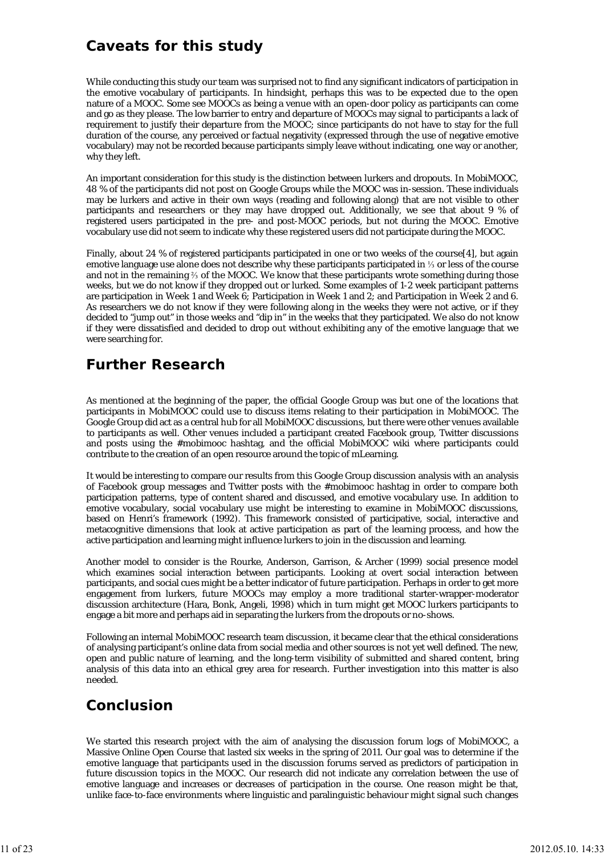## **Caveats for this study**

While conducting this study our team was surprised not to find any significant indicators of participation in the emotive vocabulary of participants. In hindsight, perhaps this was to be expected due to the open nature of a MOOC. Some see MOOCs as being a venue with an open-door policy as participants can come and go as they please. The low barrier to entry and departure of MOOCs may signal to participants a lack of requirement to justify their departure from the MOOC; since participants do not have to stay for the full duration of the course, any perceived or factual negativity (expressed through the use of negative emotive vocabulary) may not be recorded because participants simply leave without indicating, one way or another, why they left.

An important consideration for this study is the distinction between lurkers and dropouts. In MobiMOOC, 48 % of the participants did not post on Google Groups while the MOOC was in-session. These individuals may be lurkers and active in their own ways (reading and following along) that are not visible to other participants and researchers or they may have dropped out. Additionally, we see that about 9 % of registered users participated in the pre- and post-MOOC periods, but not during the MOOC. Emotive vocabulary use did not seem to indicate why these registered users did not participate during the MOOC.

Finally, about 24 % of registered participants participated in one or two weeks of the course[4], but again emotive language use alone does not describe why these participants participated in ⅓ or less of the course and not in the remaining ⅔ of the MOOC. We know that these participants wrote something during those weeks, but we do not know if they dropped out or lurked. Some examples of 1-2 week participant patterns are participation in Week 1 and Week 6; Participation in Week 1 and 2; and Participation in Week 2 and 6. As researchers we do not know if they were following along in the weeks they were not active, or if they decided to "*jump out*" in those weeks and *"dip in*" in the weeks that they participated. We also do not know if they were dissatisfied and decided to drop out without exhibiting any of the emotive language that we were searching for.

## **Further Research**

As mentioned at the beginning of the paper, the official Google Group was but one of the locations that participants in MobiMOOC could use to discuss items relating to their participation in MobiMOOC. The Google Group did act as a central hub for all MobiMOOC discussions, but there were other venues available to participants as well. Other venues included a participant created Facebook group, Twitter discussions and posts using the #mobimooc hashtag, and the official MobiMOOC wiki where participants could contribute to the creation of an open resource around the topic of mLearning.

It would be interesting to compare our results from this Google Group discussion analysis with an analysis of Facebook group messages and Twitter posts with the #mobimooc hashtag in order to compare both participation patterns, type of content shared and discussed, and emotive vocabulary use. In addition to emotive vocabulary, social vocabulary use might be interesting to examine in MobiMOOC discussions, based on Henri's framework (1992). This framework consisted of participative, social, interactive and metacognitive dimensions that look at active participation as part of the learning process, and how the active participation and learning might influence lurkers to join in the discussion and learning.

Another model to consider is the Rourke, Anderson, Garrison, & Archer (1999) social presence model which examines social interaction between participants. Looking at overt social interaction between participants, and social cues might be a better indicator of future participation. Perhaps in order to get more engagement from lurkers, future MOOCs may employ a more traditional starter-wrapper-moderator discussion architecture (Hara, Bonk, Angeli, 1998) which in turn might get MOOC lurkers participants to engage a bit more and perhaps aid in separating the lurkers from the dropouts or no-shows.

Following an internal MobiMOOC research team discussion, it became clear that the ethical considerations of analysing participant's online data from social media and other sources is not yet well defined. The new, open and public nature of learning, and the long-term visibility of submitted and shared content, bring analysis of this data into an ethical grey area for research. Further investigation into this matter is also needed.

## **Conclusion**

We started this research project with the aim of analysing the discussion forum logs of MobiMOOC, a Massive Online Open Course that lasted six weeks in the spring of 2011. Our goal was to determine if the emotive language that participants used in the discussion forums served as predictors of participation in future discussion topics in the MOOC. Our research did not indicate any correlation between the use of emotive language and increases or decreases of participation in the course. One reason might be that, unlike face-to-face environments where linguistic and paralinguistic behaviour might signal such changes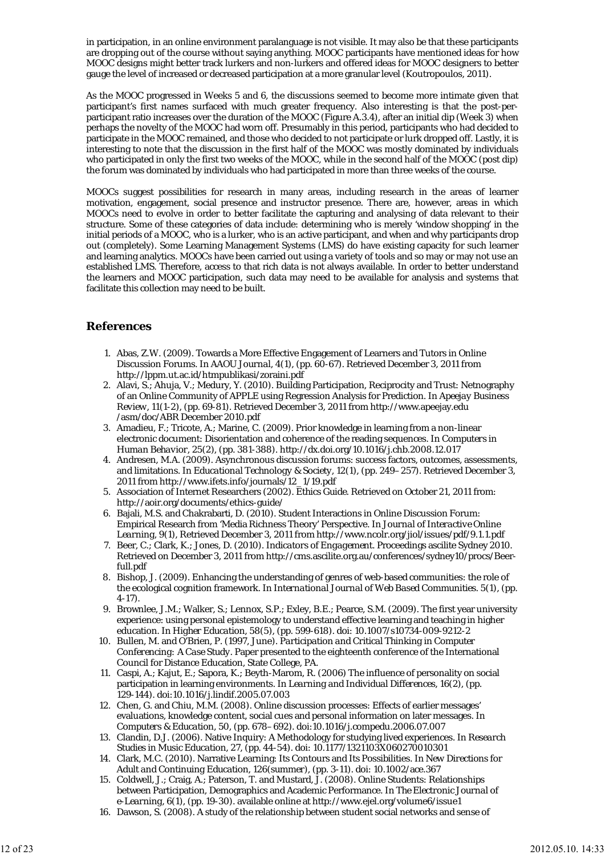in participation, in an online environment paralanguage is not visible. It may also be that these participants are dropping out of the course without saying anything. MOOC participants have mentioned ideas for how MOOC designs might better track lurkers and non-lurkers and offered ideas for MOOC designers to better gauge the level of increased or decreased participation at a more granular level (Koutropoulos, 2011).

As the MOOC progressed in Weeks 5 and 6, the discussions seemed to become more intimate given that participant's first names surfaced with much greater frequency. Also interesting is that the post-perparticipant ratio increases over the duration of the MOOC (Figure A.3.4), after an initial dip (Week 3) when perhaps the novelty of the MOOC had worn off. Presumably in this period, participants who had decided to participate in the MOOC remained, and those who decided to not participate or lurk dropped off. Lastly, it is interesting to note that the discussion in the first half of the MOOC was mostly dominated by individuals who participated in only the first two weeks of the MOOC, while in the second half of the MOOC (post dip) the forum was dominated by individuals who had participated in more than three weeks of the course.

MOOCs suggest possibilities for research in many areas, including research in the areas of learner motivation, engagement, social presence and instructor presence. There are, however, areas in which MOOCs need to evolve in order to better facilitate the capturing and analysing of data relevant to their structure. Some of these categories of data include: determining who is merely 'window shopping' in the initial periods of a MOOC, who is a lurker, who is an active participant, and when and why participants drop out (completely). Some Learning Management Systems (LMS) do have existing capacity for such learner and learning analytics. MOOCs have been carried out using a variety of tools and so may or may not use an established LMS. Therefore, access to that rich data is not always available. In order to better understand the learners and MOOC participation, such data may need to be available for analysis and systems that facilitate this collection may need to be built.

## **References**

- 1. Abas, Z.W. (2009). Towards a More Effective Engagement of Learners and Tutors in Online Discussion Forums. In *AAOU Journal, 4(1)*, (pp. 60-67). Retrieved December 3, 2011 from http://lppm.ut.ac.id/htmpublikasi/zoraini.pdf
- 2. Alavi, S.; Ahuja, V.; Medury, Y. (2010). Building Participation, Reciprocity and Trust: Netnography of an Online Community of APPLE using Regression Analysis for Prediction. In *Apeejay Business Review, 11(1-2)*, (pp. 69-81). Retrieved December 3, 2011 from http://www.apeejay.edu /asm/doc/ABR December 2010.pdf
- 3. Amadieu, F.; Tricote, A.; Marine, C. (2009). Prior knowledge in learning from a non-linear electronic document: Disorientation and coherence of the reading sequences. In *Computers in Human Behavior, 25(2)*, (pp. 381-388). http://dx.doi.org/10.1016/j.chb.2008.12.017
- Andresen, M.A. (2009). Asynchronous discussion forums: success factors, outcomes, assessments, 4. and limitations. In *Educational Technology & Society, 12(1)*, (pp. 249–257). Retrieved December 3, 2011 from http://www.ifets.info/journals/12\_1/19.pdf
- 5. Association of Internet Researchers (2002). *Ethics Guide*. Retrieved on October 21, 2011 from: http://aoir.org/documents/ethics-guide/
- Bajali, M.S. and Chakrabarti, D. (2010). Student Interactions in Online Discussion Forum: 6. Empirical Research from 'Media Richness Theory' Perspective. In *Journal of Interactive Online Learning, 9(1)*, Retrieved December 3, 2011 from http://www.ncolr.org/jiol/issues/pdf/9.1.1.pdf
- 7. Beer, C.; Clark, K.; Jones, D. (2010). *Indicators of Engagement*. Proceedings ascilite Sydney 2010. Retrieved on December 3, 2011 from http://cms.ascilite.org.au/conferences/sydney10/procs/Beerfull.pdf
- Bishop, J. (2009). Enhancing the understanding of genres of web-based communities: the role of 8. the ecological cognition framework. In *International Journal of Web Based Communities. 5(1)*, (pp. 4-17).
- Brownlee, J.M.; Walker, S.; Lennox, S.P.; Exley, B.E.; Pearce, S.M. (2009). The first year university 9. experience: using personal epistemology to understand effective learning and teaching in higher education. In *Higher Education, 58(5)*, (pp. 599-618). doi: 10.1007/s10734-009-9212-2
- 10. Bullen, M. and O'Brien, P. (1997, June). *Participation and Critical Thinking in Computer Conferencing: A Case Study.* Paper presented to the eighteenth conference of the International Council for Distance Education, State College, PA.
- Caspi, A.; Kajut, E.; Sapora, K.; Beyth-Marom, R. (2006) The influence of personality on social 11. participation in learning environments. In *Learning and Individual Differences, 16(2)*, (pp. 129-144). doi:10.1016/j.lindif.2005.07.003
- Chen, G. and Chiu, M.M. (2008). Online discussion processes: Effects of earlier messages' 12. evaluations, knowledge content, social cues and personal information on later messages. In *Computers & Education, 50*, (pp. 678–692). doi:10.1016/j.compedu.2006.07.007
- Clandin, D.J. (2006). Native Inquiry: A Methodology for studying lived experiences. In *Research* 13. *Studies in Music Education, 27*, (pp. 44-54). doi: 10.1177/1321103X060270010301
- Clark, M.C. (2010). Narrative Learning: Its Contours and Its Possibilities. In *New Directions for* 14. *Adult and Continuing Education, 126(summer),* (pp. 3-11). doi: 10.1002/ace.367
- 15. Coldwell, J.; Craig, A.; Paterson, T. and Mustard, J. (2008). Online Students: Relationships between Participation, Demographics and Academic Performance. In *The Electronic Journal of e-Learning, 6(1)*, (pp. 19-30). available online at http://www.ejel.org/volume6/issue1
- 16. Dawson, S. (2008). A study of the relationship between student social networks and sense of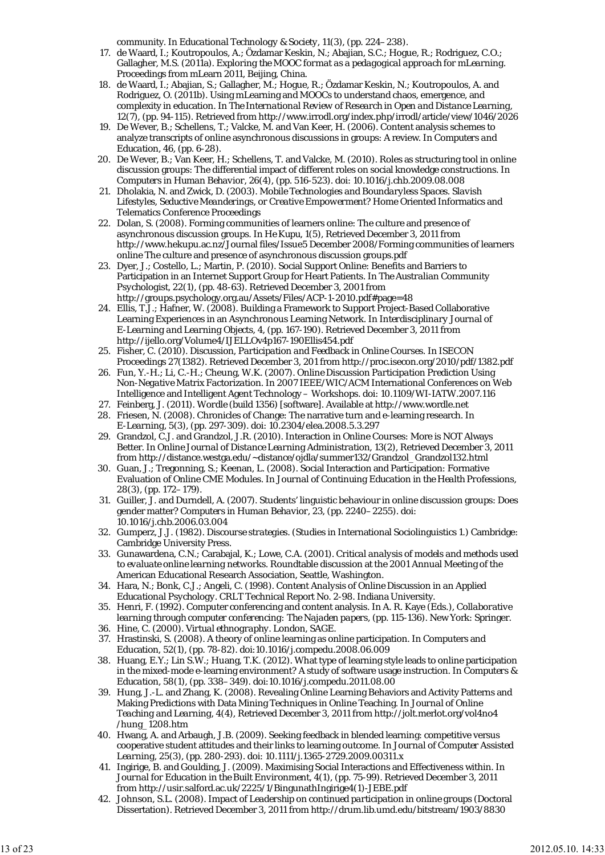community. In *Educational Technology & Society, 11(3)*, (pp. 224–238).

- 17. de Waard, I.; Koutropoulos, A.; Özdamar Keskin, N.; Abajian, S.C.; Hogue, R.; Rodriguez, C.O.; Gallagher, M.S. (2011a). *Exploring the MOOC format as a pedagogical approach for mLearning.* Proceedings from mLearn 2011, Beijing, China.
- 18. de Waard, I.; Abajian, S.; Gallagher, M.; Hogue, R.; Özdamar Keskin, N.; Koutropoulos, A. and Rodriguez, O. (2011b). Using mLearning and MOOCs to understand chaos, emergence, and complexity in education. In *The International Review of Research in Open and Distance Learning, 12(7)*, (pp. 94-115). Retrieved from http://www.irrodl.org/index.php/irrodl/article/view/1046/2026
- De Wever, B.; Schellens, T.; Valcke, M. and Van Keer, H. (2006). Content analysis schemes to 19. analyze transcripts of online asynchronous discussions in groups: A review. In *Computers and Education, 46*, (pp. 6-28).
- 20. De Wever, B.; Van Keer, H.; Schellens, T. and Valcke, M. (2010). Roles as structuring tool in online discussion groups: The differential impact of different roles on social knowledge constructions. In *Computers in Human Behavior, 26(4)*, (pp. 516-523). doi: 10.1016/j.chb.2009.08.008
- 21. Dholakia, N. and Zwick, D. (2003). Mobile Technologies and Boundaryless Spaces. Slavish *Lifestyles, Seductive Meanderings, or Creative Empowerment?* Home Oriented Informatics and Telematics Conference Proceedings
- 22. Dolan, S. (2008). Forming communities of learners online: The culture and presence of asynchronous discussion groups. In *He Kupu, 1(5)*, Retrieved December 3, 2011 from http://www.hekupu.ac.nz/Journal files/Issue5 December 2008/Forming communities of learners online The culture and presence of asynchronous discussion groups.pdf
- 23. Dyer, J.; Costello, L.; Martin, P. (2010). Social Support Online: Benefits and Barriers to Participation in an Internet Support Group for Heart Patients. In *The Australian Community Psychologist, 22(1)*, (pp. 48-63). Retrieved December 3, 2001 from http://groups.psychology.org.au/Assets/Files/ACP-1-2010.pdf#page=48
- Ellis, T.J.; Hafner, W. (2008). Building a Framework to Support Project-Based Collaborative 24. Learning Experiences in an Asynchronous Learning Network. In *Interdisciplinary Journal of E-Learning and Learning Objects, 4,* (pp. 167-190). Retrieved December 3, 2011 from http://ijello.org/Volume4/IJELLOv4p167-190Ellis454.pdf
- Fisher, C. (2010). *Discussion, Participation and Feedback in Online Courses.* In ISECON 25. Proceedings 27(1382). Retrieved December 3, 201 from http://proc.isecon.org/2010/pdf/1382.pdf
- 26. Fun, Y.-H.; Li, C.-H.; Cheung, W.K. (2007). *Online Discussion Participation Prediction Using Non-Negative Matrix Factorization.* In 2007 IEEE/WIC/ACM International Conferences on Web Intelligence and Intelligent Agent Technology – Workshops. doi: 10.1109/WI-IATW.2007.116
- 27. Feinberg, J. (2011). *Wordle (build 1356)* [software]. Available at http://www.wordle.net
- 28. Friesen, N. (2008). Chronicles of Change: The narrative turn and e-learning research. In *E-Learning, 5(3)*, (pp. 297-309). doi: 10.2304/elea.2008.5.3.297
- 29. Grandzol, C.J. and Grandzol, J.R. (2010). Interaction in Online Courses: More is NOT Always Better. In *Online Journal of Distance Learning Administration, 13(2)*, Retrieved December 3, 2011 from http://distance.westga.edu/~distance/ojdla/summer132/Grandzol\_Grandzol132.html
- 30. Guan, J.; Tregonning, S.; Keenan, L. (2008). Social Interaction and Participation: Formative Evaluation of Online CME Modules. In *Journal of Continuing Education in the Health Professions, 28(3)*, (pp. 172–179).
- Guiller, J. and Durndell, A. (2007). Students' linguistic behaviour in online discussion groups: Does 31. gender matter? *Computers in Human Behavior, 23*, (pp. 2240–2255). doi: 10.1016/j.chb.2006.03.004
- Gumperz, J.J. (1982). *Discourse strategies.* (Studies in International Sociolinguistics 1.) Cambridge: 32. Cambridge University Press.
- 33. Gunawardena, C.N.; Carabajal, K.; Lowe, C.A. (2001). *Critical analysis of models and methods used to evaluate online learning networks.* Roundtable discussion at the 2001 Annual Meeting of the American Educational Research Association, Seattle, Washington.
- 34. Hara, N.; Bonk, C.J.; Angeli, C. (1998). *Content Analysis of Online Discussion in an Applied Educational Psychology.* CRLT Technical Report No. 2-98. Indiana University.
- 35. Henri, F. (1992). Computer conferencing and content analysis. In A. R. Kaye (Eds.), *Collaborative learning through computer conferencing: The Najaden papers*, (pp. 115-136). New York: Springer.
- 36. Hine, C. (2000). *Virtual ethnography.* London, SAGE.
- 37. Hrastinski, S. (2008). A theory of online learning as online participation. In Computers and Education, 52(1), (pp. 78-82). doi:10.1016/j.compedu.2008.06.009
- 38. Huang, E.Y.; Lin S.W.; Huang, T.K. (2012). What type of learning style leads to online participation in the mixed-mode e-learning environment? A study of software usage instruction. In *Computers & Education, 58(1)*, (pp. 338–349). doi:10.1016/j.compedu.2011.08.00
- 39. Hung, J.-L. and Zhang, K. (2008). Revealing Online Learning Behaviors and Activity Patterns and Making Predictions with Data Mining Techniques in Online Teaching. In *Journal of Online Teaching and Learning, 4(4),* Retrieved December 3, 2011 from http://jolt.merlot.org/vol4no4 /hung\_1208.htm
- Hwang, A. and Arbaugh, J.B. (2009). Seeking feedback in blended learning: competitive versus 40. cooperative student attitudes and their links to learning outcome. In *Journal of Computer Assisted Learning, 25(3),* (pp. 280-293). doi: 10.1111/j.1365-2729.2009.00311.x
- 41. Ingirige, B. and Goulding, J. (2009). Maximising Social Interactions and Effectiveness within. In *Journal for Education in the Built Environment, 4(1)*, (pp. 75-99). Retrieved December 3, 2011 from http://usir.salford.ac.uk/2225/1/BingunathIngirige4(1)-JEBE.pdf
- 42. Johnson, S.L. (2008). *Impact of Leadership on continued participation in online groups* (Doctoral Dissertation). Retrieved December 3, 2011 from http://drum.lib.umd.edu/bitstream/1903/8830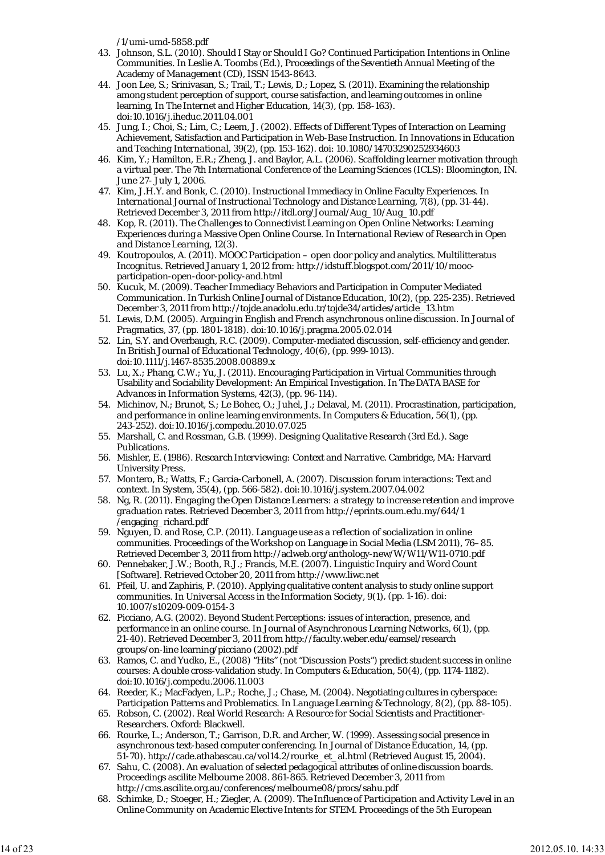/1/umi-umd-5858.pdf

- 43. Johnson, S.L. (2010). Should I Stay or Should I Go? Continued Participation Intentions in Online Communities. In Leslie A. Toombs (Ed.), *Proceedings of the Seventieth Annual Meeting of the Academy of Management* (CD), ISSN 1543-8643.
- 44. Joon Lee, S.; Srinivasan, S.; Trail, T.; Lewis, D.; Lopez, S. (2011). Examining the relationship among student perception of support, course satisfaction, and learning outcomes in online learning, In *The Internet and Higher Education, 14(3)*, (pp. 158-163). doi:10.1016/j.iheduc.2011.04.001
- 45. Jung, I.; Choi, S.; Lim, C.; Leem, J. (2002). Effects of Different Types of Interaction on Learning Achievement, Satisfaction and Participation in Web-Base Instruction. In *Innovations in Education and Teaching International, 39(2),* (pp. 153-162). doi: 10.1080/14703290252934603
- 46. Kim, Y.; Hamilton, E.R.; Zheng, J. and Baylor, A.L. (2006). *Scaffolding learner motivation through a virtual peer.* The 7th International Conference of the Learning Sciences (ICLS): Bloomington, IN. June 27- July 1, 2006.
- 47. Kim, J.H.Y. and Bonk, C. (2010). Instructional Immediacy in Online Faculty Experiences. In *International Journal of Instructional Technology and Distance Learning, 7(8)*, (pp. 31-44). Retrieved December 3, 2011 from http://itdl.org/Journal/Aug\_10/Aug\_10.pdf
- 48. Kop, R. (2011). The Challenges to Connectivist Learning on Open Online Networks: Learning Experiences during a Massive Open Online Course. In *International Review of Research in Open and Distance Learning, 12(3)*.
- 49. Koutropoulos, A. (2011). MOOC Participation open door policy and analytics. Multilitteratus Incognitus. Retrieved January 1, 2012 from: http://idstuff.blogspot.com/2011/10/moocparticipation-open-door-policy-and.html
- 50. Kucuk, M. (2009). Teacher Immediacy Behaviors and Participation in Computer Mediated Communication. In *Turkish Online Journal of Distance Education, 10(2)*, (pp. 225-235). Retrieved December 3, 2011 from http://tojde.anadolu.edu.tr/tojde34/articles/article\_13.htm
- 51. Lewis, D.M. (2005). Arguing in English and French asynchronous online discussion. In *Journal of Pragmatics, 37,* (pp. 1801-1818). doi:10.1016/j.pragma.2005.02.014
- Lin, S.Y. and Overbaugh, R.C. (2009). Computer-mediated discussion, self-efficiency and gender. 52. In *British Journal of Educational Technology, 40(6)*, (pp. 999-1013). doi:10.1111/j.1467-8535.2008.00889.x
- Lu, X.; Phang, C.W.; Yu, J. (2011). Encouraging Participation in Virtual Communities through 53. Usability and Sociability Development: An Empirical Investigation. In *The DATA BASE for Advances in Information Systems, 42(3)*, (pp. 96-114).
- 54. Michinov, N.; Brunot, S.; Le Bohec, O.; Juhel, J.; Delaval, M. (2011). Procrastination, participation, and performance in online learning environments. In *Computers & Education, 56(1)*, (pp. 243-252). doi:10.1016/j.compedu.2010.07.025
- Marshall, C. and Rossman, G.B. (1999). *Designing Qualitative Research* (3rd Ed.). Sage 55. Publications.
- 56. Mishler, E. (1986). *Research Interviewing: Context and Narrative.* Cambridge, MA: Harvard University Press.
- 57. Montero, B.; Watts, F.; Garcia-Carbonell, A. (2007). Discussion forum interactions: Text and context. In *System, 35(4)*, (pp. 566-582). doi:10.1016/j.system.2007.04.002
- Ng, R. (2011). *Engaging the Open Distance Learners: a strategy to increase retention and improve* 58. *graduation rates.* Retrieved December 3, 2011 from http://eprints.oum.edu.my/644/1 /engaging\_richard.pdf
- 59. Nguyen, D. and Rose, C.P. (2011). *Language use as a reflection of socialization in online communities.* Proceedings of the Workshop on Language in Social Media (LSM 2011), 76–85. Retrieved December 3, 2011 from http://aclweb.org/anthology-new/W/W11/W11-0710.pdf
- 60. Pennebaker, J.W.; Booth, R.J.; Francis, M.E. (2007). *Linguistic Inquiry and Word Count* [Software]. Retrieved October 20, 2011 from http://www.liwc.net
- 61. Pfeil, U. and Zaphiris, P. (2010). Applying qualitative content analysis to study online support communities. In *Universal Access in the Information Society, 9(1)*, (pp. 1-16). doi: 10.1007/s10209-009-0154-3
- 62. Picciano, A.G. (2002). Beyond Student Perceptions: issues of interaction, presence, and performance in an online course. In *Journal of Asynchronous Learning Networks, 6(1)*, (pp. 21-40). Retrieved December 3, 2011 from http://faculty.weber.edu/eamsel/research groups/on-line learning/picciano (2002).pdf
- 63. Ramos, C. and Yudko, E., (2008) "Hits" (not "Discussion Posts") predict student success in online courses: A double cross-validation study. In *Computers & Education, 50(4),* (pp. 1174-1182). doi:10.1016/j.compedu.2006.11.003
- 64. Reeder, K.; MacFadyen, L.P.; Roche, J.; Chase, M. (2004). Negotiating cultures in cyberspace: Participation Patterns and Problematics. In *Language Learning & Technology, 8(2),* (pp. 88-105).
- Robson, C. (2002). *Real World Research: A Resource for Social Scientists and Practitioner-*65. *Researchers.* Oxford: Blackwell.
- 66. Rourke, L.; Anderson, T.; Garrison, D.R. and Archer, W. (1999). Assessing social presence in asynchronous text-based computer conferencing. In *Journal of Distance Education, 14*, (pp. 51-70). http://cade.athabascau.ca/vol14.2/rourke\_et\_al.html (Retrieved August 15, 2004).
- 67. Sahu, C. (2008). *An evaluation of selected pedagogical attributes of online discussion boards.* Proceedings ascilite Melbourne 2008. 861-865. Retrieved December 3, 2011 from http://cms.ascilite.org.au/conferences/melbourne08/procs/sahu.pdf
- Schimke, D.; Stoeger, H.; Ziegler, A. (2009). *The Influence of Participation and Activity Level in an Online Community on Academic Elective Intents for STEM.* Proceedings of the 5th European 68.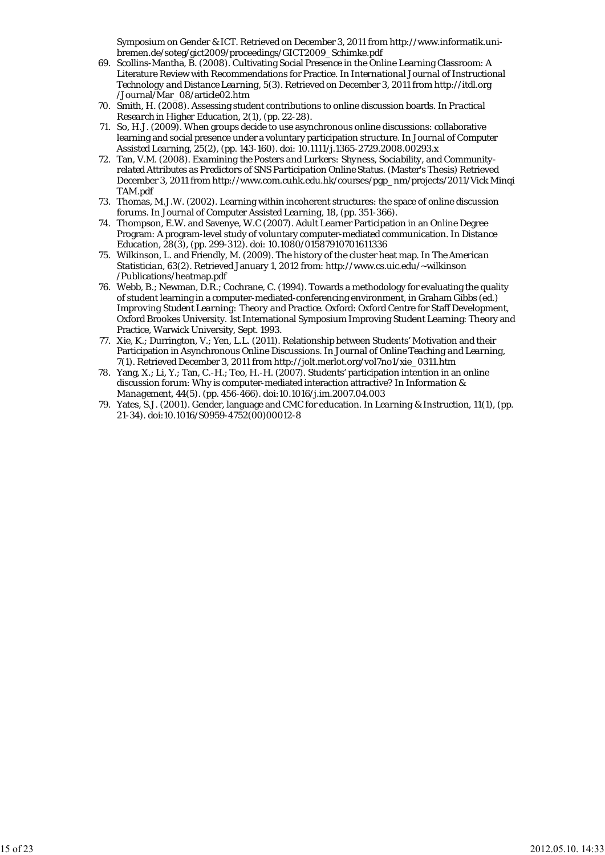Symposium on Gender & ICT. Retrieved on December 3, 2011 from http://www.informatik.unibremen.de/soteg/gict2009/proceedings/GICT2009\_Schimke.pdf

- 69. Scollins-Mantha, B. (2008). Cultivating Social Presence in the Online Learning Classroom: A Literature Review with Recommendations for Practice. In *International Journal of Instructional Technology and Distance Learning, 5(3)*. Retrieved on December 3, 2011 from http://itdl.org /Journal/Mar\_08/article02.htm
- 70. Smith, H. (2008). Assessing student contributions to online discussion boards. In *Practical Research in Higher Education, 2(1),* (pp. 22-28).
- 71. So, H.J. (2009). When groups decide to use asynchronous online discussions: collaborative learning and social presence under a voluntary participation structure. In *Journal of Computer Assisted Learning, 25(2)*, (pp. 143-160). doi: 10.1111/j.1365-2729.2008.00293.x
- Tan, V.M. (2008). *Examining the Posters and Lurkers: Shyness, Sociability, and Community-*72. *related Attributes as Predictors of SNS Participation Online Status.* (Master's Thesis) Retrieved December 3, 2011 from http://www.com.cuhk.edu.hk/courses/pgp\_nm/projects/2011/Vick Minqi TAM.pdf
- 73. Thomas, M.J.W. (2002). Learning within incoherent structures: the space of online discussion forums. In *Journal of Computer Assisted Learning, 18*, (pp. 351-366).
- Thompson, E.W. and Savenye, W.C (2007). Adult Learner Participation in an Online Degree 74. Program: A program-level study of voluntary computer-mediated communication. In *Distance Education, 28(3)*, (pp. 299-312). doi: 10.1080/01587910701611336
- Wilkinson, L. and Friendly, M. (2009). The history of the cluster heat map. In *The American* 75. *Statistician, 63(2)*. Retrieved January 1, 2012 from: http://www.cs.uic.edu/~wilkinson /Publications/heatmap.pdf
- 76. Webb, B.; Newman, D.R.; Cochrane, C. (1994). Towards a methodology for evaluating the quality of student learning in a computer-mediated-conferencing environment, in Graham Gibbs (ed.) *Improving Student Learning: Theory and Practice.* Oxford: Oxford Centre for Staff Development, Oxford Brookes University. 1st International Symposium Improving Student Learning: Theory and Practice, Warwick University, Sept. 1993.
- 77. Xie, K.; Durrington, V.; Yen, L.L. (2011). Relationship between Students' Motivation and their Participation in Asynchronous Online Discussions. In *Journal of Online Teaching and Learning, 7(1)*. Retrieved December 3, 2011 from http://jolt.merlot.org/vol7no1/xie\_0311.htm
- 78. Yang, X.; Li, Y.; Tan, C.-H.; Teo, H.-H. (2007). Students' participation intention in an online discussion forum: Why is computer-mediated interaction attractive? In *Information & Management, 44(5)*. (pp. 456-466). doi:10.1016/j.im.2007.04.003
- 79. Yates, S.J. (2001). Gender, language and CMC for education. In *Learning & Instruction, 11(1)*, (pp. 21-34). doi:10.1016/S0959-4752(00)00012-8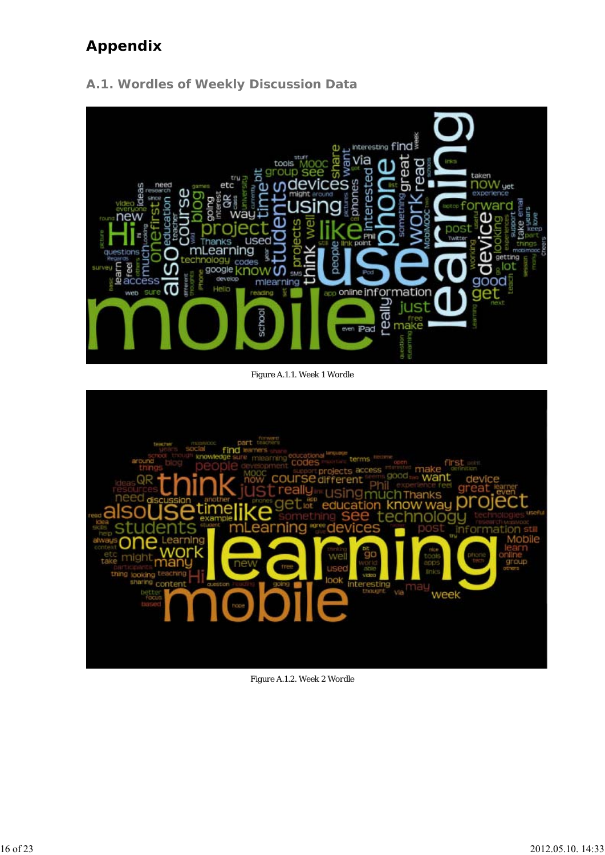# **Appendix**



**A.1. Wordles of Weekly Discussion Data**

*Figure A.1.1. Week 1 Wordle*



*Figure A.1.2. Week 2 Wordle*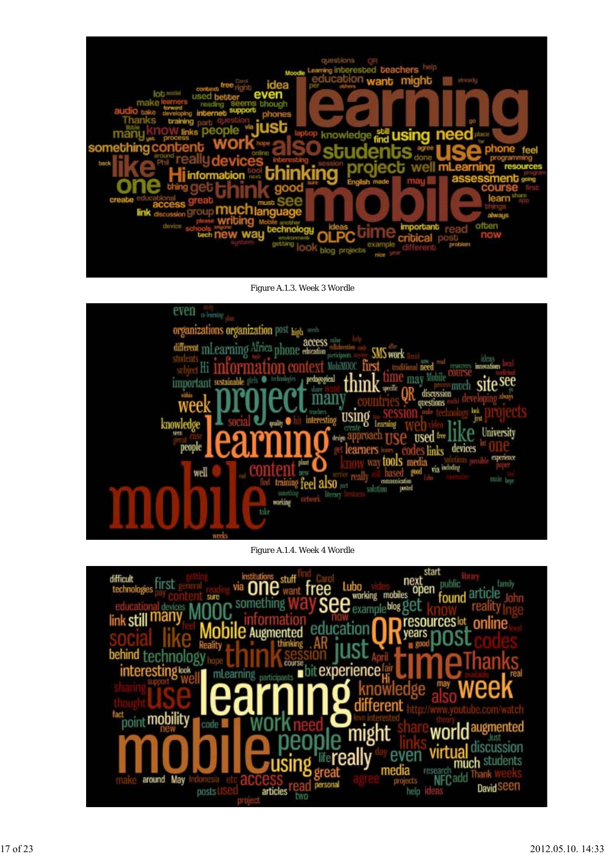

*Figure A.1.3. Week 3 Wordle*



*Figure A.1.4. Week 4 Wordle*

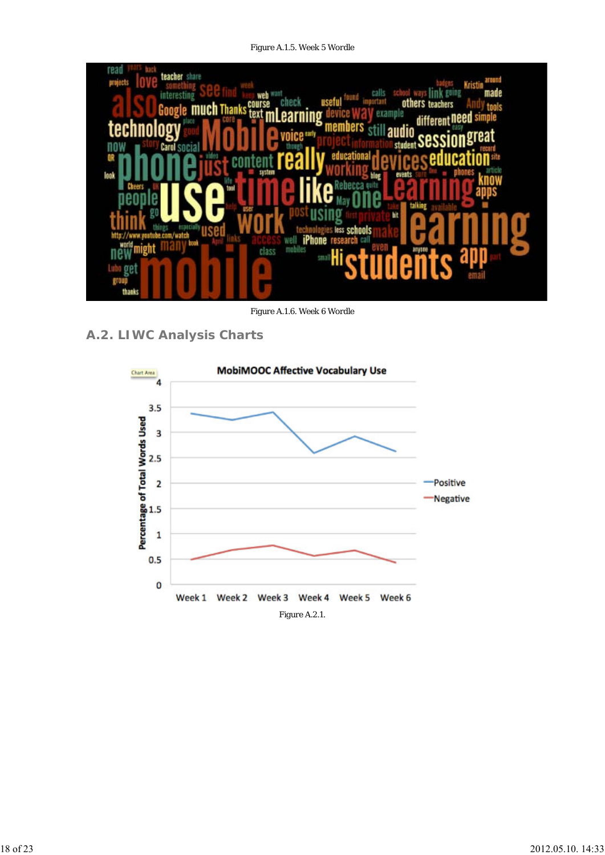*Figure A.1.5. Week 5 Wordle*



*Figure A.1.6. Week 6 Wordle*

**A.2. LIWC Analysis Charts**

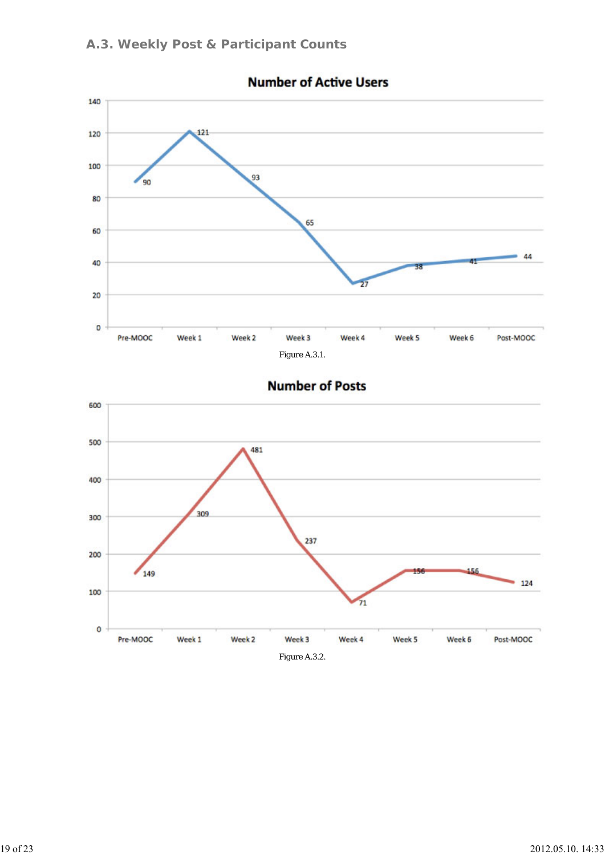

## **Number of Active Users**

## **Number of Posts**

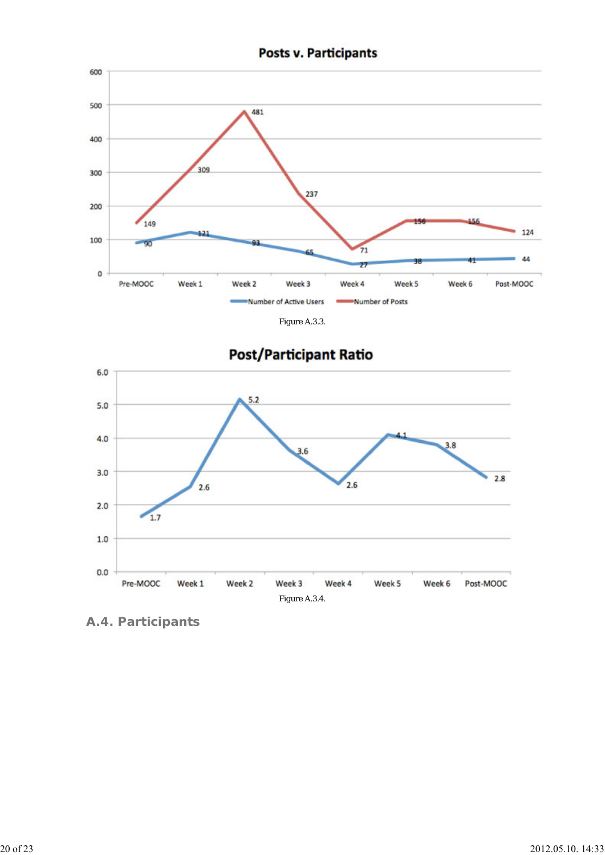



**A.4. Participants**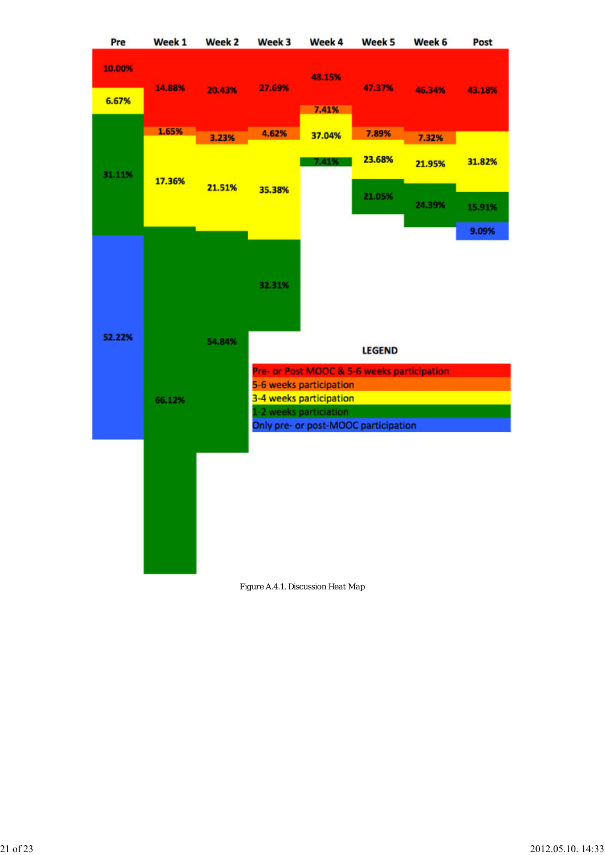